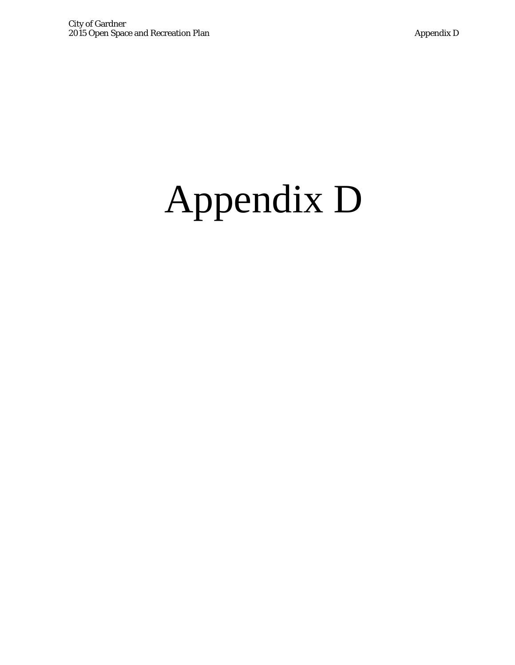## Appendix D